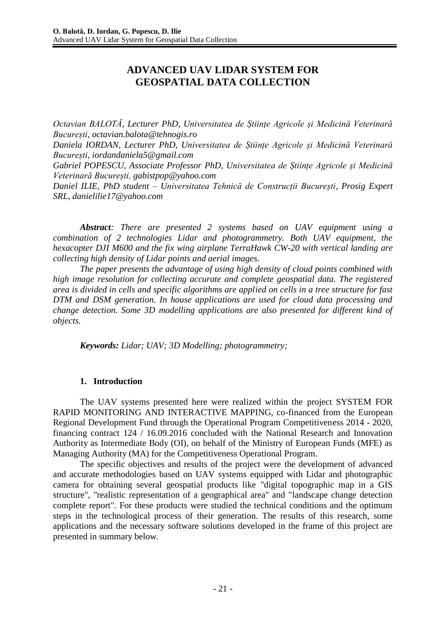# **ADVANCED UAV LIDAR SYSTEM FOR GEOSPATIAL DATA COLLECTION**

*Octavian BALOTĂ, Lecturer PhD, Universitatea de Științe Agricole și Medicină Veterinară București, [octavian.balota@tehnogis.ro](mailto:octavian.balota@tehnogis.ro)*

*Daniela IORDAN, Lecturer PhD, Universitatea de Științe Agricole și Medicină Veterinară București, [iordandaniela5@gmail.com](mailto:iordandaniela5@gmail.com)*

*Gabriel POPESCU, Associate Professor PhD, Universitatea de Științe Agricole și Medicină Veterinară București, [gabistpop@yahoo.com](mailto:gabistpop@yahoo.com)*

*Daniel ILIE, PhD student – Universitatea Tehnică de Construcții București, Prosig Expert SRL, [danielilie17@yahoo.com](mailto:danielilie17@yahoo.com)*

*Abstract: There are presented 2 systems based on UAV equipment using a combination of 2 technologies Lidar and photogrammetry. Both UAV equipment, the hexacopter DJI M600 and the fix wing airplane TerraHawk CW-20 with vertical landing are collecting high density of Lidar points and aerial images.*

*The paper presents the advantage of using high density of cloud points combined with high image resolution for collecting accurate and complete geospatial data. The registered area is divided in cells and specific algorithms are applied on cells in a tree structure for fast DTM and DSM generation. In house applications are used for cloud data processing and change detection. Some 3D modelling applications are also presented for different kind of objects.*

*Keywords: Lidar; UAV; 3D Modelling; photogrammetry;*

## **1. Introduction**

The UAV systems presented here were realized within the project SYSTEM FOR RAPID MONITORING AND INTERACTIVE MAPPING, co-financed from the European Regional Development Fund through the Operational Program Competitiveness 2014 - 2020, financing contract 124 / 16.09.2016 concluded with the National Research and Innovation Authority as Intermediate Body (OI), on behalf of the Ministry of European Funds (MFE) as Managing Authority (MA) for the Competitiveness Operational Program.

The specific objectives and results of the project were the development of advanced and accurate methodologies based on UAV systems equipped with Lidar and photographic camera for obtaining several geospatial products like "digital topographic map in a GIS structure", "realistic representation of a geographical area" and "landscape change detection complete report". For these products were studied the technical conditions and the optimum steps in the technological process of their generation. The results of this research, some applications and the necessary software solutions developed in the frame of this project are presented in summary below.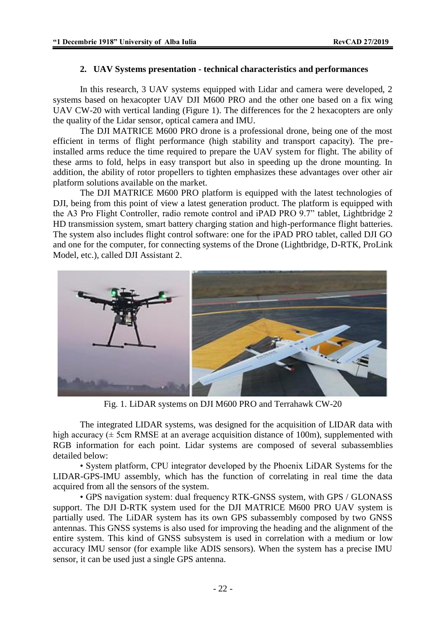#### **2. UAV Systems presentation - technical characteristics and performances**

In this research, 3 UAV systems equipped with Lidar and camera were developed, 2 systems based on hexacopter UAV DJI M600 PRO and the other one based on a fix wing UAV CW-20 with vertical landing (Figure 1). The differences for the 2 hexacopters are only the quality of the Lidar sensor, optical camera and IMU.

The DJI MATRICE M600 PRO drone is a professional drone, being one of the most efficient in terms of flight performance (high stability and transport capacity). The preinstalled arms reduce the time required to prepare the UAV system for flight. The ability of these arms to fold, helps in easy transport but also in speeding up the drone mounting. In addition, the ability of rotor propellers to tighten emphasizes these advantages over other air platform solutions available on the market.

The DJI MATRICE M600 PRO platform is equipped with the latest technologies of DJI, being from this point of view a latest generation product. The platform is equipped with the A3 Pro Flight Controller, radio remote control and iPAD PRO 9.7" tablet, Lightbridge 2 HD transmission system, smart battery charging station and high-performance flight batteries. The system also includes flight control software: one for the iPAD PRO tablet, called DJI GO and one for the computer, for connecting systems of the Drone (Lightbridge, D-RTK, ProLink Model, etc.), called DJI Assistant 2.



Fig. 1. LiDAR systems on DJI M600 PRO and Terrahawk CW-20

The integrated LIDAR systems, was designed for the acquisition of LIDAR data with high accuracy ( $\pm$  5cm RMSE at an average acquisition distance of 100m), supplemented with RGB information for each point. Lidar systems are composed of several subassemblies detailed below:

• System platform, CPU integrator developed by the Phoenix LiDAR Systems for the LIDAR-GPS-IMU assembly, which has the function of correlating in real time the data acquired from all the sensors of the system.

• GPS navigation system: dual frequency RTK-GNSS system, with GPS / GLONASS support. The DJI D-RTK system used for the DJI MATRICE M600 PRO UAV system is partially used. The LiDAR system has its own GPS subassembly composed by two GNSS antennas. This GNSS systems is also used for improving the heading and the alignment of the entire system. This kind of GNSS subsystem is used in correlation with a medium or low accuracy IMU sensor (for example like ADIS sensors). When the system has a precise IMU sensor, it can be used just a single GPS antenna.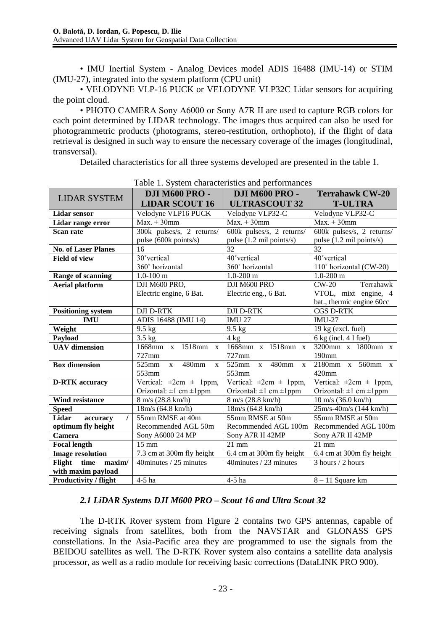• IMU Inertial System - Analog Devices model ADIS 16488 (IMU-14) or STIM (IMU-27), integrated into the system platform (CPU unit)

• VELODYNE VLP-16 PUCK or VELODYNE VLP32C Lidar sensors for acquiring the point cloud.

• PHOTO CAMERA Sony A6000 or Sony A7R II are used to capture RGB colors for each point determined by LIDAR technology. The images thus acquired can also be used for photogrammetric products (photograms, stereo-restitution, orthophoto), if the flight of data retrieval is designed in such way to ensure the necessary coverage of the images (longitudinal, transversal).

Detailed characteristics for all three systems developed are presented in the table 1.

|                              | racio 1. B folcan characteristics and performance. |                                     |                                   |  |  |  |
|------------------------------|----------------------------------------------------|-------------------------------------|-----------------------------------|--|--|--|
| <b>LIDAR SYSTEM</b>          | <b>DJI M600 PRO -</b>                              | <b>DJI M600 PRO -</b>               | <b>Terrahawk CW-20</b>            |  |  |  |
|                              | <b>LIDAR SCOUT 16</b>                              | <b>ULTRASCOUT 32</b>                | <b>T-ULTRA</b>                    |  |  |  |
| <b>Lidar sensor</b>          | Velodyne VLP16 PUCK                                | Velodyne VLP32-C                    | Velodyne VLP32-C                  |  |  |  |
| Lidar range error            | $Max. \pm 30$ mm                                   | $Max. \pm 30$ mm                    | $Max. \pm 30$ mm                  |  |  |  |
| Scan rate                    | 300k pulses/s, 2 returns/                          | 600k pulses/s, 2 returns/           | 600k pulses/s, 2 returns/         |  |  |  |
|                              | pulse (600k points/s)                              | pulse (1.2 mil points/s)            | pulse (1.2 mil points/s)          |  |  |  |
| <b>No. of Laser Planes</b>   | 16                                                 | 32                                  | 32                                |  |  |  |
| <b>Field of view</b>         | 30°vertical                                        | 40°vertical                         | 40° vertical                      |  |  |  |
|                              | 360° horizontal                                    | 360° horizontal                     | 110° horizontal (CW-20)           |  |  |  |
| Range of scanning            | $1.0 - 100$ m                                      | $1.0 - 200$ m                       | $1.0 - 200$ m                     |  |  |  |
| <b>Aerial platform</b>       | DJI M600 PRO,                                      | DJI M600 PRO                        | $CW-20$<br>Terrahawk              |  |  |  |
|                              | Electric engine, 6 Bat.                            | Electric eng., 6 Bat.               | VTOL, mixt engine, 4              |  |  |  |
|                              |                                                    |                                     | bat., thermic engine 60cc         |  |  |  |
| <b>Positioning system</b>    | <b>DJI D-RTK</b>                                   | <b>DJI D-RTK</b>                    | <b>CGS D-RTK</b>                  |  |  |  |
| <b>IMU</b>                   | ADIS 16488 (IMU 14)                                | <b>IMU 27</b>                       | <b>IMU-27</b>                     |  |  |  |
| Weight                       | $9.5$ kg                                           | $9.5$ kg                            | 19 kg (excl. fuel)                |  |  |  |
| Payload                      | $3.5$ kg                                           | $4 \text{ kg}$                      | 6 kg (incl. 4 l fuel)             |  |  |  |
| <b>UAV</b> dimension         | 1668mm x 1518mm<br>$\mathbf{X}$                    | 1668mm x 1518mm x                   | 3200mm x 1800mm x                 |  |  |  |
|                              | 727mm                                              | 727mm                               | 190mm                             |  |  |  |
| <b>Box dimension</b>         | 480mm<br>$525$ mm<br>$\mathbf{x}$<br>$\mathbf{x}$  | $525$ mm<br>x 480mm<br>$\mathbf{x}$ | 2180mm x 560mm x                  |  |  |  |
|                              | 553mm                                              | 553mm                               | $420$ mm                          |  |  |  |
| <b>D-RTK</b> accuracy        | Vertical: $\pm 2$ cm $\pm$ 1ppm,                   | Vertical: $\pm 2$ cm $\pm$ 1ppm,    | Vertical: $\pm 2$ cm $\pm$ 1ppm,  |  |  |  |
|                              | Orizontal: $\pm 1$ cm $\pm 1$ ppm                  | Orizontal: $\pm 1$ cm $\pm 1$ ppm   | Orizontal: $\pm 1$ cm $\pm 1$ ppm |  |  |  |
| <b>Wind resistance</b>       | 8 m/s (28.8 km/h)                                  | 8 m/s (28.8 km/h)                   | $10 \text{ m/s}$ (36.0 km/h)      |  |  |  |
| <b>Speed</b>                 | 18m/s (64.8 km/h)                                  | 18m/s (64.8 km/h)                   | 25m/s-40m/s (144 km/h)            |  |  |  |
| Lidar<br>accuracy            | 55mm RMSE at 40m                                   | 55mm RMSE at 50m                    | 55mm RMSE at 50m                  |  |  |  |
| optimum fly height           | Recommended AGL 50m                                | Recommended AGL 100m                | Recommended AGL 100m              |  |  |  |
| Camera                       | Sony A6000 24 MP                                   | Sony A7R II 42MP                    | Sony A7R II 42MP                  |  |  |  |
| <b>Focal length</b>          | $15 \text{ mm}$                                    | $21$ mm                             | $21$ mm                           |  |  |  |
| <b>Image resolution</b>      | 7.3 cm at 300m fly height                          | 6.4 cm at 300m fly height           | 6.4 cm at 300m fly height         |  |  |  |
| Flight<br>time<br>maxim/     | 40 minutes / 25 minutes                            | 40minutes / 23 minutes              | 3 hours / 2 hours                 |  |  |  |
| with maxim payload           |                                                    |                                     |                                   |  |  |  |
| <b>Productivity / flight</b> | 4-5 ha                                             | 4-5 ha                              | $8 - 11$ Square km                |  |  |  |

Table 1. System characteristics and performances

#### *2.1 LiDAR Systems DJI M600 PRO – Scout 16 and Ultra Scout 32*

The D-RTK Rover system from Figure 2 contains two GPS antennas, capable of receiving signals from satellites, both from the NAVSTAR and GLONASS GPS constellations. In the Asia-Pacific area they are programmed to use the signals from the BEIDOU satellites as well. The D-RTK Rover system also contains a satellite data analysis processor, as well as a radio module for receiving basic corrections (DataLINK PRO 900).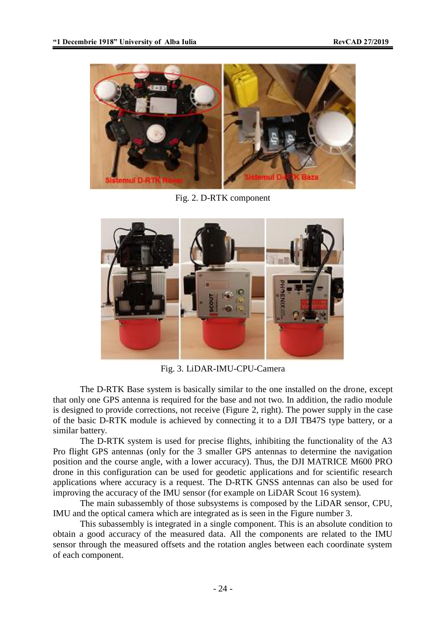

Fig. 2. D-RTK component



Fig. 3. LiDAR-IMU-CPU-Camera

The D-RTK Base system is basically similar to the one installed on the drone, except that only one GPS antenna is required for the base and not two. In addition, the radio module is designed to provide corrections, not receive (Figure 2, right). The power supply in the case of the basic D-RTK module is achieved by connecting it to a DJI TB47S type battery, or a similar battery.

The D-RTK system is used for precise flights, inhibiting the functionality of the A3 Pro flight GPS antennas (only for the 3 smaller GPS antennas to determine the navigation position and the course angle, with a lower accuracy). Thus, the DJI MATRICE M600 PRO drone in this configuration can be used for geodetic applications and for scientific research applications where accuracy is a request. The D-RTK GNSS antennas can also be used for improving the accuracy of the IMU sensor (for example on LiDAR Scout 16 system).

The main subassembly of those subsystems is composed by the LiDAR sensor, CPU, IMU and the optical camera which are integrated as is seen in the Figure number 3.

This subassembly is integrated in a single component. This is an absolute condition to obtain a good accuracy of the measured data. All the components are related to the IMU sensor through the measured offsets and the rotation angles between each coordinate system of each component.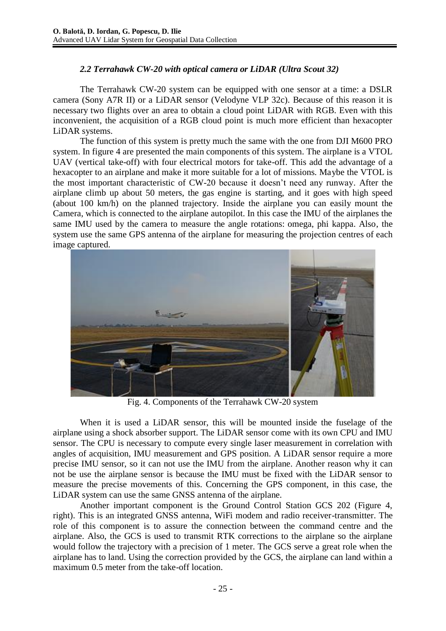## *2.2 Terrahawk CW-20 with optical camera or LiDAR (Ultra Scout 32)*

The Terrahawk CW-20 system can be equipped with one sensor at a time: a DSLR camera (Sony A7R II) or a LiDAR sensor (Velodyne VLP 32c). Because of this reason it is necessary two flights over an area to obtain a cloud point LiDAR with RGB. Even with this inconvenient, the acquisition of a RGB cloud point is much more efficient than hexacopter LiDAR systems.

The function of this system is pretty much the same with the one from DJI M600 PRO system. In figure 4 are presented the main components of this system. The airplane is a VTOL UAV (vertical take-off) with four electrical motors for take-off. This add the advantage of a hexacopter to an airplane and make it more suitable for a lot of missions. Maybe the VTOL is the most important characteristic of CW-20 because it doesn't need any runway. After the airplane climb up about 50 meters, the gas engine is starting, and it goes with high speed (about 100 km/h) on the planned trajectory. Inside the airplane you can easily mount the Camera, which is connected to the airplane autopilot. In this case the IMU of the airplanes the same IMU used by the camera to measure the angle rotations: omega, phi kappa. Also, the system use the same GPS antenna of the airplane for measuring the projection centres of each image captured.



Fig. 4. Components of the Terrahawk CW-20 system

When it is used a LiDAR sensor, this will be mounted inside the fuselage of the airplane using a shock absorber support. The LiDAR sensor come with its own CPU and IMU sensor. The CPU is necessary to compute every single laser measurement in correlation with angles of acquisition, IMU measurement and GPS position. A LiDAR sensor require a more precise IMU sensor, so it can not use the IMU from the airplane. Another reason why it can not be use the airplane sensor is because the IMU must be fixed with the LiDAR sensor to measure the precise movements of this. Concerning the GPS component, in this case, the LiDAR system can use the same GNSS antenna of the airplane.

Another important component is the Ground Control Station GCS 202 (Figure 4, right). This is an integrated GNSS antenna, WiFi modem and radio receiver-transmitter. The role of this component is to assure the connection between the command centre and the airplane. Also, the GCS is used to transmit RTK corrections to the airplane so the airplane would follow the trajectory with a precision of 1 meter. The GCS serve a great role when the airplane has to land. Using the correction provided by the GCS, the airplane can land within a maximum 0.5 meter from the take-off location.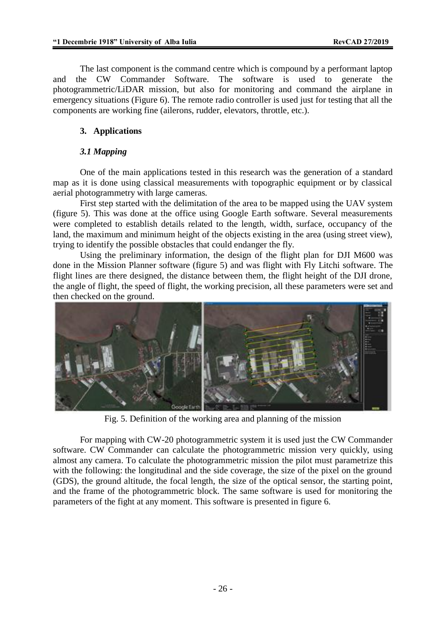The last component is the command centre which is compound by a performant laptop and the CW Commander Software. The software is used to generate the photogrammetric/LiDAR mission, but also for monitoring and command the airplane in emergency situations (Figure 6). The remote radio controller is used just for testing that all the components are working fine (ailerons, rudder, elevators, throttle, etc.).

### **3. Applications**

#### *3.1 Mapping*

One of the main applications tested in this research was the generation of a standard map as it is done using classical measurements with topographic equipment or by classical aerial photogrammetry with large cameras.

First step started with the delimitation of the area to be mapped using the UAV system (figure 5). This was done at the office using Google Earth software. Several measurements were completed to establish details related to the length, width, surface, occupancy of the land, the maximum and minimum height of the objects existing in the area (using street view). trying to identify the possible obstacles that could endanger the fly.

Using the preliminary information, the design of the flight plan for DJI M600 was done in the Mission Planner software (figure 5) and was flight with Fly Litchi software. The flight lines are there designed, the distance between them, the flight height of the DJI drone, the angle of flight, the speed of flight, the working precision, all these parameters were set and then checked on the ground.



Fig. 5. Definition of the working area and planning of the mission

For mapping with CW-20 photogrammetric system it is used just the CW Commander software. CW Commander can calculate the photogrammetric mission very quickly, using almost any camera. To calculate the photogrammetric mission the pilot must parametrize this with the following: the longitudinal and the side coverage, the size of the pixel on the ground (GDS), the ground altitude, the focal length, the size of the optical sensor, the starting point, and the frame of the photogrammetric block. The same software is used for monitoring the parameters of the fight at any moment. This software is presented in figure 6.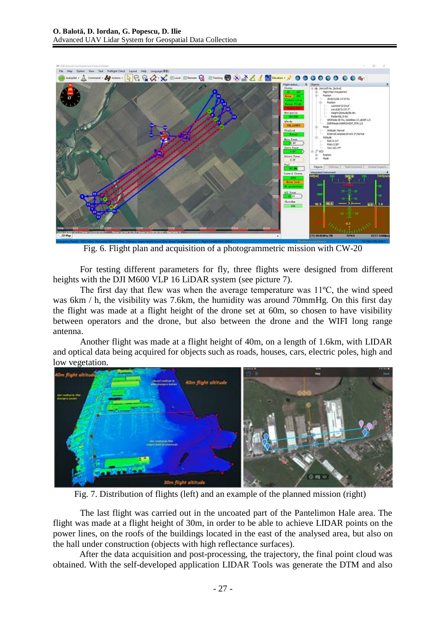

Fig. 6. Flight plan and acquisition of a photogrammetric mission with CW-20

For testing different parameters for fly, three flights were designed from different heights with the DJI M600 VLP 16 LiDAR system (see picture 7).

The first day that flew was when the average temperature was 11ºC, the wind speed was 6km / h, the visibility was 7.6km, the humidity was around 70mmHg. On this first day the flight was made at a flight height of the drone set at 60m, so chosen to have visibility between operators and the drone, but also between the drone and the WIFI long range antenna.

Another flight was made at a flight height of 40m, on a length of 1.6km, with LIDAR and optical data being acquired for objects such as roads, houses, cars, electric poles, high and low vegetation.



Fig. 7. Distribution of flights (left) and an example of the planned mission (right)

The last flight was carried out in the uncoated part of the Pantelimon Hale area. The flight was made at a flight height of 30m, in order to be able to achieve LIDAR points on the power lines, on the roofs of the buildings located in the east of the analysed area, but also on the hall under construction (objects with high reflectance surfaces).

After the data acquisition and post-processing, the trajectory, the final point cloud was obtained. With the self-developed application LIDAR Tools was generate the DTM and also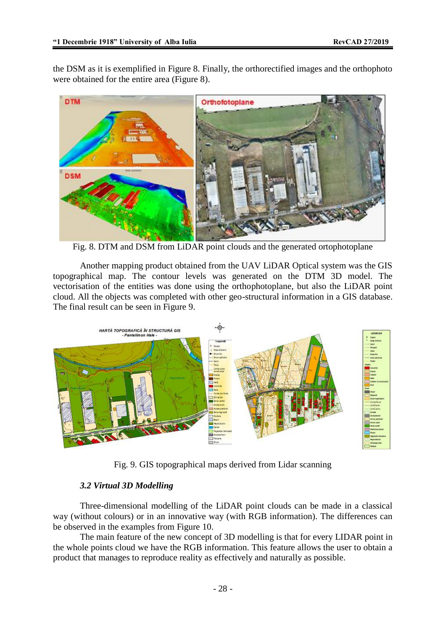the DSM as it is exemplified in Figure 8. Finally, the orthorectified images and the orthophoto were obtained for the entire area (Figure 8).



Fig. 8. DTM and DSM from LiDAR point clouds and the generated ortophotoplane

Another mapping product obtained from the UAV LiDAR Optical system was the GIS topographical map. The contour levels was generated on the DTM 3D model. The vectorisation of the entities was done using the orthophotoplane, but also the LiDAR point cloud. All the objects was completed with other geo-structural information in a GIS database. The final result can be seen in Figure 9.



Fig. 9. GIS topographical maps derived from Lidar scanning

## *3.2 Virtual 3D Modelling*

Three-dimensional modelling of the LiDAR point clouds can be made in a classical way (without colours) or in an innovative way (with RGB information). The differences can be observed in the examples from Figure 10.

The main feature of the new concept of 3D modelling is that for every LIDAR point in the whole points cloud we have the RGB information. This feature allows the user to obtain a product that manages to reproduce reality as effectively and naturally as possible.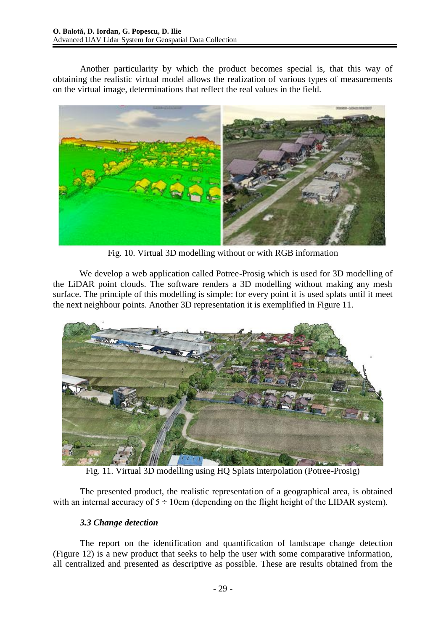Another particularity by which the product becomes special is, that this way of obtaining the realistic virtual model allows the realization of various types of measurements on the virtual image, determinations that reflect the real values in the field.



Fig. 10. Virtual 3D modelling without or with RGB information

We develop a web application called Potree-Prosig which is used for 3D modelling of the LiDAR point clouds. The software renders a 3D modelling without making any mesh surface. The principle of this modelling is simple: for every point it is used splats until it meet the next neighbour points. Another 3D representation it is exemplified in Figure 11.



Fig. 11. Virtual 3D modelling using HQ Splats interpolation (Potree-Prosig)

The presented product, the realistic representation of a geographical area, is obtained with an internal accuracy of  $5 \div 10$ cm (depending on the flight height of the LIDAR system).

## *3.3 Change detection*

The report on the identification and quantification of landscape change detection (Figure 12) is a new product that seeks to help the user with some comparative information, all centralized and presented as descriptive as possible. These are results obtained from the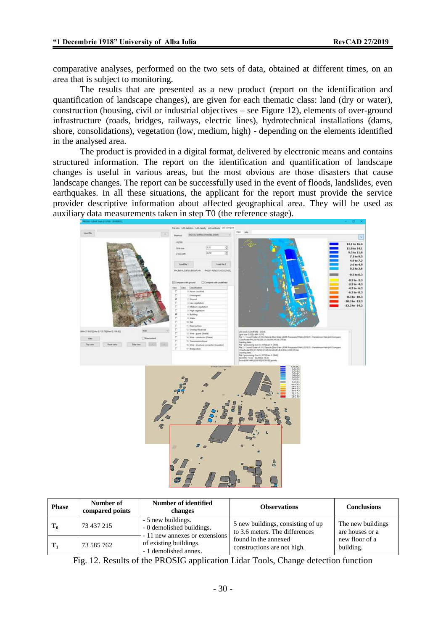comparative analyses, performed on the two sets of data, obtained at different times, on an area that is subject to monitoring.

The results that are presented as a new product (report on the identification and quantification of landscape changes), are given for each thematic class: land (dry or water), construction (housing, civil or industrial objectives – see Figure 12), elements of over-ground infrastructure (roads, bridges, railways, electric lines), hydrotechnical installations (dams, shore, consolidations), vegetation (low, medium, high) - depending on the elements identified in the analysed area.

The product is provided in a digital format, delivered by electronic means and contains structured information. The report on the identification and quantification of landscape changes is useful in various areas, but the most obvious are those disasters that cause landscape changes. The report can be successfully used in the event of floods, landslides, even earthquakes. In all these situations, the applicant for the report must provide the service provider descriptive information about affected geographical area. They will be used as auxiliary data measurements taken in step T0 (the reference stage).



| <b>Phase</b> | Number of<br>compared points | Number of identified<br>changes                                                   | <b>Observations</b>                                                 | <b>Conclusions</b>                   |
|--------------|------------------------------|-----------------------------------------------------------------------------------|---------------------------------------------------------------------|--------------------------------------|
| $T_0$        | 73 437 215                   | - 5 new buildings.<br>- 0 demolished buildings.<br>- 11 new annexes or extensions | 5 new buildings, consisting of up<br>to 3.6 meters. The differences | The new buildings<br>are houses or a |
| Т.           | 73 585 762                   | of existing buildings.<br>- 1 demolished annex.                                   | found in the annexed<br>constructions are not high.                 | new floor of a<br>building.          |

Fig. 12. Results of the PROSIG application Lidar Tools, Change detection function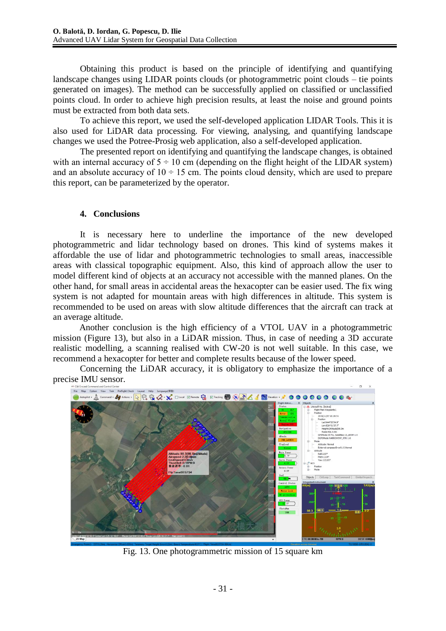Obtaining this product is based on the principle of identifying and quantifying landscape changes using LIDAR points clouds (or photogrammetric point clouds – tie points generated on images). The method can be successfully applied on classified or unclassified points cloud. In order to achieve high precision results, at least the noise and ground points must be extracted from both data sets.

To achieve this report, we used the self-developed application LIDAR Tools. This it is also used for LiDAR data processing. For viewing, analysing, and quantifying landscape changes we used the Potree-Prosig web application, also a self-developed application.

The presented report on identifying and quantifying the landscape changes, is obtained with an internal accuracy of  $5 \div 10$  cm (depending on the flight height of the LIDAR system) and an absolute accuracy of  $10 \div 15$  cm. The points cloud density, which are used to prepare this report, can be parameterized by the operator.

#### **4. Conclusions**

It is necessary here to underline the importance of the new developed photogrammetric and lidar technology based on drones. This kind of systems makes it affordable the use of lidar and photogrammetric technologies to small areas, inaccessible areas with classical topographic equipment. Also, this kind of approach allow the user to model different kind of objects at an accuracy not accessible with the manned planes. On the other hand, for small areas in accidental areas the hexacopter can be easier used. The fix wing system is not adapted for mountain areas with high differences in altitude. This system is recommended to be used on areas with slow altitude differences that the aircraft can track at an average altitude.

Another conclusion is the high efficiency of a VTOL UAV in a photogrammetric mission (Figure 13), but also in a LiDAR mission. Thus, in case of needing a 3D accurate realistic modelling, a scanning realised with CW-20 is not well suitable. In this case, we recommend a hexacopter for better and complete results because of the lower speed.

Concerning the LiDAR accuracy, it is obligatory to emphasize the importance of a precise IMU sensor.



Fig. 13. One photogrammetric mission of 15 square km